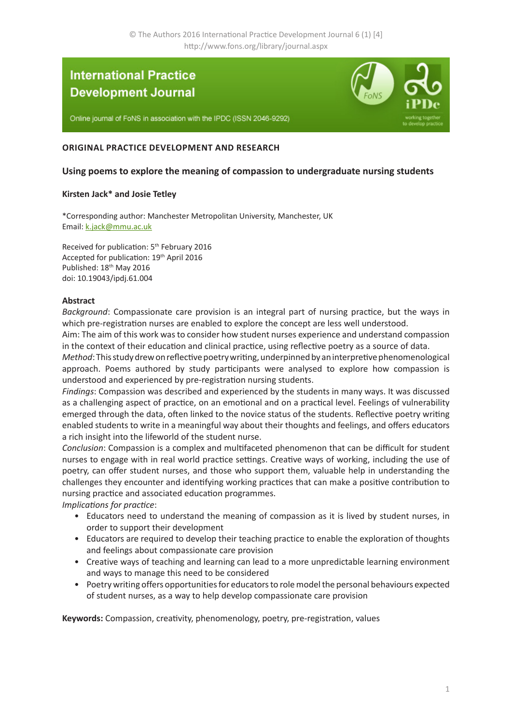# **International Practice Development Journal**

Online journal of FoNS in association with the IPDC (ISSN 2046-9292)



## **ORIGINAL PRACTICE DEVELOPMENT AND RESEARCH**

## **Using poems to explore the meaning of compassion to undergraduate nursing students**

### **Kirsten Jack\* and Josie Tetley**

\*Corresponding author: Manchester Metropolitan University, Manchester, UK Email: [k.jack@mmu.ac.uk](mailto:k.jack%40mmu.ac.uk?subject=IPDJ%20paper)

Received for publication: 5<sup>th</sup> February 2016 Accepted for publication: 19th April 2016 Published: 18<sup>th</sup> May 2016 doi: 10.19043/ipdj.61.004

### **Abstract**

*Background*: Compassionate care provision is an integral part of nursing practice, but the ways in which pre-registration nurses are enabled to explore the concept are less well understood.

Aim: The aim of this work was to consider how student nurses experience and understand compassion in the context of their education and clinical practice, using reflective poetry as a source of data.

*Method*: This study drew on reflective poetry writing, underpinned by an interpretive phenomenological approach. Poems authored by study participants were analysed to explore how compassion is understood and experienced by pre-registration nursing students.

*Findings*: Compassion was described and experienced by the students in many ways. It was discussed as a challenging aspect of practice, on an emotional and on a practical level. Feelings of vulnerability emerged through the data, often linked to the novice status of the students. Reflective poetry writing enabled students to write in a meaningful way about their thoughts and feelings, and offers educators a rich insight into the lifeworld of the student nurse.

*Conclusion*: Compassion is a complex and multifaceted phenomenon that can be difficult for student nurses to engage with in real world practice settings. Creative ways of working, including the use of poetry, can offer student nurses, and those who support them, valuable help in understanding the challenges they encounter and identifying working practices that can make a positive contribution to nursing practice and associated education programmes.

*Implications for practice*:

- Educators need to understand the meaning of compassion as it is lived by student nurses, in order to support their development
- Educators are required to develop their teaching practice to enable the exploration of thoughts and feelings about compassionate care provision
- Creative ways of teaching and learning can lead to a more unpredictable learning environment and ways to manage this need to be considered
- Poetry writing offers opportunities for educators to role model the personal behaviours expected of student nurses, as a way to help develop compassionate care provision

**Keywords:** Compassion, creativity, phenomenology, poetry, pre-registration, values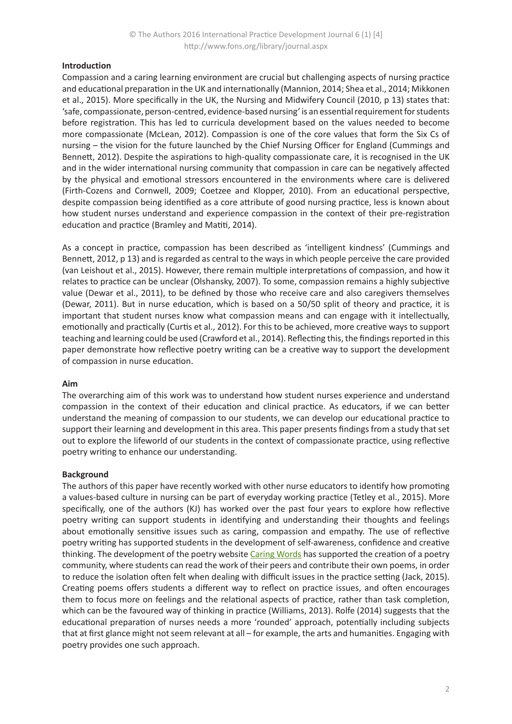## **Introduction**

Compassion and a caring learning environment are crucial but challenging aspects of nursing practice and educational preparation in the UK and internationally (Mannion, 2014; Shea et al., 2014; Mikkonen et al., 2015). More specifically in the UK, the Nursing and Midwifery Council (2010, p 13) states that: 'safe, compassionate, person-centred, evidence-based nursing' is an essential requirement for students before registration. This has led to curricula development based on the values needed to become more compassionate (McLean, 2012). Compassion is one of the core values that form the Six Cs of nursing – the vision for the future launched by the Chief Nursing Officer for England (Cummings and Bennett, 2012). Despite the aspirations to high-quality compassionate care, it is recognised in the UK and in the wider international nursing community that compassion in care can be negatively affected by the physical and emotional stressors encountered in the environments where care is delivered (Firth-Cozens and Cornwell, 2009; Coetzee and Klopper, 2010). From an educational perspective, despite compassion being identified as a core attribute of good nursing practice, less is known about how student nurses understand and experience compassion in the context of their pre-registration education and practice (Bramley and Matiti, 2014).

As a concept in practice, compassion has been described as 'intelligent kindness' (Cummings and Bennett, 2012, p 13) and is regarded as central to the ways in which people perceive the care provided (van Leishout et al., 2015). However, there remain multiple interpretations of compassion, and how it relates to practice can be unclear (Olshansky, 2007). To some, compassion remains a highly subjective value (Dewar et al., 2011), to be defined by those who receive care and also caregivers themselves (Dewar, 2011). But in nurse education, which is based on a 50/50 split of theory and practice, it is important that student nurses know what compassion means and can engage with it intellectually, emotionally and practically (Curtis et al., 2012). For this to be achieved, more creative ways to support teaching and learning could be used (Crawford et al., 2014). Reflecting this, the findings reported in this paper demonstrate how reflective poetry writing can be a creative way to support the development of compassion in nurse education.

### **Aim**

The overarching aim of this work was to understand how student nurses experience and understand compassion in the context of their education and clinical practice. As educators, if we can better understand the meaning of compassion to our students, we can develop our educational practice to support their learning and development in this area. This paper presents findings from a study that set out to explore the lifeworld of our students in the context of compassionate practice, using reflective poetry writing to enhance our understanding.

### **Background**

The authors of this paper have recently worked with other nurse educators to identify how promoting a values-based culture in nursing can be part of everyday working practice (Tetley et al., 2015). More specifically, one of the authors (KJ) has worked over the past four years to explore how reflective poetry writing can support students in identifying and understanding their thoughts and feelings about emotionally sensitive issues such as caring, compassion and empathy. The use of reflective poetry writing has supported students in the development of self-awareness, confidence and creative thinking. The development of the poetry website C[aring Words](http://www.caringwords.mmu.ac.uk) has supported the creation of a poetry community, where students can read the work of their peers and contribute their own poems, in order to reduce the isolation often felt when dealing with difficult issues in the practice setting (Jack, 2015). Creating poems offers students a different way to reflect on practice issues, and often encourages them to focus more on feelings and the relational aspects of practice, rather than task completion, which can be the favoured way of thinking in practice (Williams, 2013). Rolfe (2014) suggests that the educational preparation of nurses needs a more 'rounded' approach, potentially including subjects that at first glance might not seem relevant at all – for example, the arts and humanities. Engaging with poetry provides one such approach.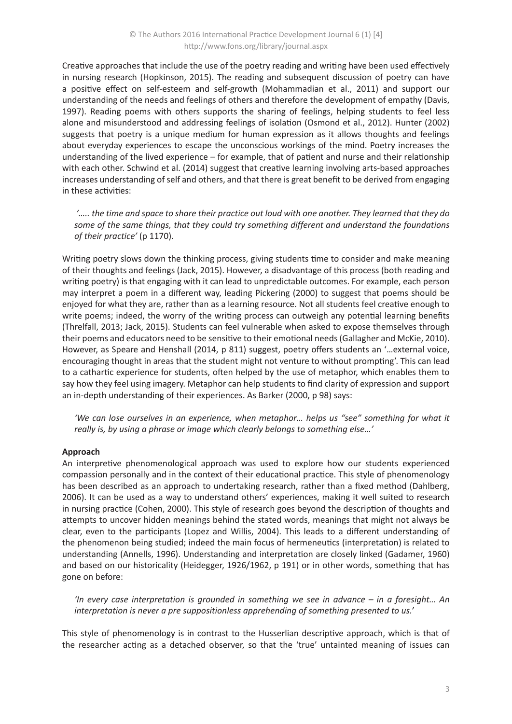Creative approaches that include the use of the poetry reading and writing have been used effectively in nursing research (Hopkinson, 2015). The reading and subsequent discussion of poetry can have a positive effect on self-esteem and self-growth (Mohammadian et al., 2011) and support our understanding of the needs and feelings of others and therefore the development of empathy (Davis, 1997). Reading poems with others supports the sharing of feelings, helping students to feel less alone and misunderstood and addressing feelings of isolation (Osmond et al., 2012). Hunter (2002) suggests that poetry is a unique medium for human expression as it allows thoughts and feelings about everyday experiences to escape the unconscious workings of the mind. Poetry increases the understanding of the lived experience – for example, that of patient and nurse and their relationship with each other. Schwind et al. (2014) suggest that creative learning involving arts-based approaches increases understanding of self and others, and that there is great benefit to be derived from engaging in these activities:

 *'….. the time and space to share their practice out loud with one another. They learned that they do some of the same things, that they could try something different and understand the foundations of their practice'* (p 1170).

Writing poetry slows down the thinking process, giving students time to consider and make meaning of their thoughts and feelings (Jack, 2015). However, a disadvantage of this process (both reading and writing poetry) is that engaging with it can lead to unpredictable outcomes. For example, each person may interpret a poem in a different way, leading Pickering (2000) to suggest that poems should be enjoyed for what they are, rather than as a learning resource. Not all students feel creative enough to write poems; indeed, the worry of the writing process can outweigh any potential learning benefits (Threlfall, 2013; Jack, 2015). Students can feel vulnerable when asked to expose themselves through their poems and educators need to be sensitive to their emotional needs (Gallagher and McKie, 2010). However, as Speare and Henshall (2014, p 811) suggest, poetry offers students an '…external voice, encouraging thought in areas that the student might not venture to without prompting'. This can lead to a cathartic experience for students, often helped by the use of metaphor, which enables them to say how they feel using imagery. Metaphor can help students to find clarity of expression and support an in-depth understanding of their experiences. As Barker (2000, p 98) says:

*'We can lose ourselves in an experience, when metaphor… helps us "see" something for what it really is, by using a phrase or image which clearly belongs to something else…'* 

### **Approach**

An interpretive phenomenological approach was used to explore how our students experienced compassion personally and in the context of their educational practice. This style of phenomenology has been described as an approach to undertaking research, rather than a fixed method (Dahlberg, 2006). It can be used as a way to understand others' experiences, making it well suited to research in nursing practice (Cohen, 2000). This style of research goes beyond the description of thoughts and attempts to uncover hidden meanings behind the stated words, meanings that might not always be clear, even to the participants (Lopez and Willis, 2004). This leads to a different understanding of the phenomenon being studied; indeed the main focus of hermeneutics (interpretation) is related to understanding (Annells, 1996). Understanding and interpretation are closely linked (Gadamer, 1960) and based on our historicality (Heidegger, 1926/1962, p 191) or in other words, something that has gone on before:

*'In every case interpretation is grounded in something we see in advance – in a foresight… An interpretation is never a pre suppositionless apprehending of something presented to us.'*

This style of phenomenology is in contrast to the Husserlian descriptive approach, which is that of the researcher acting as a detached observer, so that the 'true' untainted meaning of issues can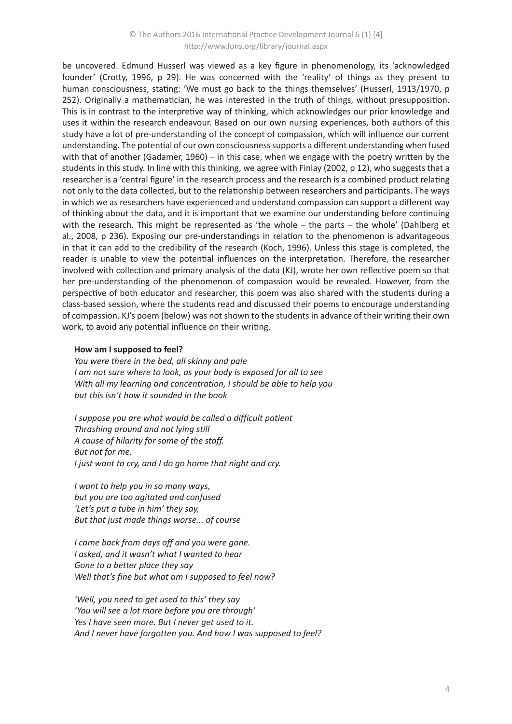be uncovered. Edmund Husserl was viewed as a key figure in phenomenology, its 'acknowledged founder' (Crotty, 1996, p 29). He was concerned with the 'reality' of things as they present to human consciousness, stating: 'We must go back to the things themselves' (Husserl, 1913/1970, p 252). Originally a mathematician, he was interested in the truth of things, without presupposition. This is in contrast to the interpretive way of thinking, which acknowledges our prior knowledge and uses it within the research endeavour. Based on our own nursing experiences, both authors of this study have a lot of pre-understanding of the concept of compassion, which will influence our current understanding. The potential of our own consciousness supports a different understanding when fused with that of another (Gadamer, 1960) – in this case, when we engage with the poetry written by the students in this study. In line with this thinking, we agree with Finlay (2002, p 12), who suggests that a researcher is a 'central figure' in the research process and the research is a combined product relating not only to the data collected, but to the relationship between researchers and participants. The ways in which we as researchers have experienced and understand compassion can support a different way of thinking about the data, and it is important that we examine our understanding before continuing with the research. This might be represented as 'the whole – the parts – the whole' (Dahlberg et al., 2008, p 236). Exposing our pre-understandings in relation to the phenomenon is advantageous in that it can add to the credibility of the research (Koch, 1996). Unless this stage is completed, the reader is unable to view the potential influences on the interpretation. Therefore, the researcher involved with collection and primary analysis of the data (KJ), wrote her own reflective poem so that her pre-understanding of the phenomenon of compassion would be revealed. However, from the perspective of both educator and researcher, this poem was also shared with the students during a class-based session, where the students read and discussed their poems to encourage understanding of compassion. KJ's poem (below) was not shown to the students in advance of their writing their own work, to avoid any potential influence on their writing.

#### **How am I supposed to feel?**

*You were there in the bed, all skinny and pale I am not sure where to look, as your body is exposed for all to see With all my learning and concentration, I should be able to help you but this isn't how it sounded in the book*

*I suppose you are what would be called a difficult patient Thrashing around and not lying still A cause of hilarity for some of the staff. But not for me. I just want to cry, and I do go home that night and cry.*

*I want to help you in so many ways, but you are too agitated and confused 'Let's put a tube in him' they say, But that just made things worse... of course*

*I came back from days off and you were gone. I asked, and it wasn't what I wanted to hear Gone to a better place they say Well that's fine but what am I supposed to feel now?*

*'Well, you need to get used to this' they say 'You will see a lot more before you are through' Yes I have seen more. But I never get used to it. And I never have forgotten you. And how I was supposed to feel?*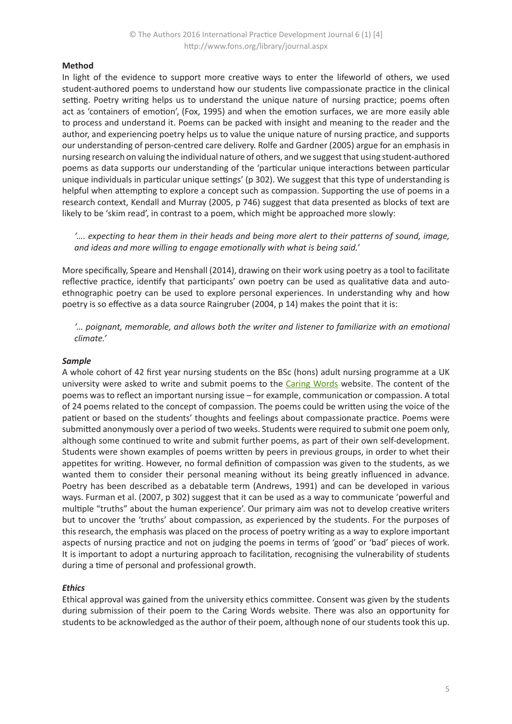## **Method**

In light of the evidence to support more creative ways to enter the lifeworld of others, we used student-authored poems to understand how our students live compassionate practice in the clinical setting. Poetry writing helps us to understand the unique nature of nursing practice; poems often act as 'containers of emotion', (Fox, 1995) and when the emotion surfaces, we are more easily able to process and understand it. Poems can be packed with insight and meaning to the reader and the author, and experiencing poetry helps us to value the unique nature of nursing practice, and supports our understanding of person-centred care delivery. Rolfe and Gardner (2005) argue for an emphasis in nursing research on valuing the individual nature of others, and we suggest that using student-authored poems as data supports our understanding of the 'particular unique interactions between particular unique individuals in particular unique settings' (p 302). We suggest that this type of understanding is helpful when attempting to explore a concept such as compassion. Supporting the use of poems in a research context, Kendall and Murray (2005, p 746) suggest that data presented as blocks of text are likely to be 'skim read', in contrast to a poem, which might be approached more slowly:

*'…. expecting to hear them in their heads and being more alert to their patterns of sound, image, and ideas and more willing to engage emotionally with what is being said.'* 

More specifically, Speare and Henshall (2014), drawing on their work using poetry as a tool to facilitate reflective practice, identify that participants' own poetry can be used as qualitative data and autoethnographic poetry can be used to explore personal experiences. In understanding why and how poetry is so effective as a data source Raingruber (2004, p 14) makes the point that it is:

*'… poignant, memorable, and allows both the writer and listener to familiarize with an emotional climate.'* 

#### *Sample*

A whole cohort of 42 first year nursing students on the BSc (hons) adult nursing programme at a UK university were asked to write and submit poems to the C[aring Words](http://www.caringwords.mmu.ac.uk) website. The content of the poems was to reflect an important nursing issue – for example, communication or compassion. A total of 24 poems related to the concept of compassion. The poems could be written using the voice of the patient or based on the students' thoughts and feelings about compassionate practice. Poems were submitted anonymously over a period of two weeks. Students were required to submit one poem only, although some continued to write and submit further poems, as part of their own self-development. Students were shown examples of poems written by peers in previous groups, in order to whet their appetites for writing. However, no formal definition of compassion was given to the students, as we wanted them to consider their personal meaning without its being greatly influenced in advance. Poetry has been described as a debatable term (Andrews, 1991) and can be developed in various ways. Furman et al. (2007, p 302) suggest that it can be used as a way to communicate 'powerful and multiple "truths" about the human experience'. Our primary aim was not to develop creative writers but to uncover the 'truths' about compassion, as experienced by the students. For the purposes of this research, the emphasis was placed on the process of poetry writing as a way to explore important aspects of nursing practice and not on judging the poems in terms of 'good' or 'bad' pieces of work. It is important to adopt a nurturing approach to facilitation, recognising the vulnerability of students during a time of personal and professional growth.

### *Ethics*

Ethical approval was gained from the university ethics committee. Consent was given by the students during submission of their poem to the Caring Words website. There was also an opportunity for students to be acknowledged as the author of their poem, although none of our students took this up.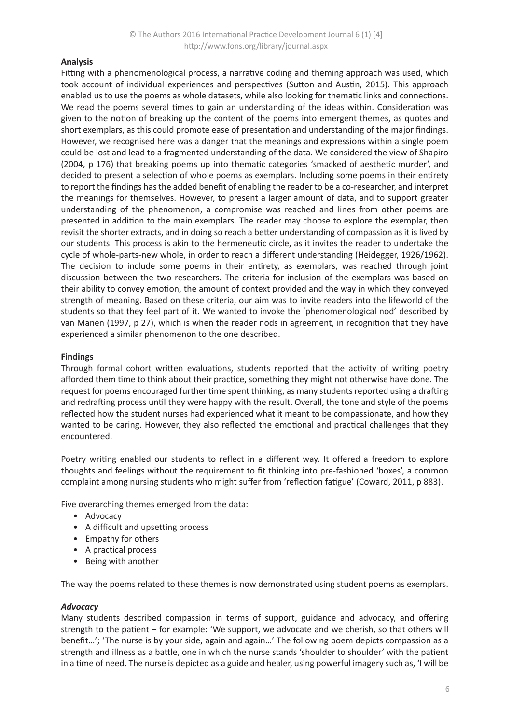## **Analysis**

Fitting with a phenomenological process, a narrative coding and theming approach was used, which took account of individual experiences and perspectives (Sutton and Austin, 2015). This approach enabled us to use the poems as whole datasets, while also looking for thematic links and connections. We read the poems several times to gain an understanding of the ideas within. Consideration was given to the notion of breaking up the content of the poems into emergent themes, as quotes and short exemplars, as this could promote ease of presentation and understanding of the major findings. However, we recognised here was a danger that the meanings and expressions within a single poem could be lost and lead to a fragmented understanding of the data. We considered the view of Shapiro (2004, p 176) that breaking poems up into thematic categories 'smacked of aesthetic murder', and decided to present a selection of whole poems as exemplars. Including some poems in their entirety to report the findings has the added benefit of enabling the reader to be a co-researcher, and interpret the meanings for themselves. However, to present a larger amount of data, and to support greater understanding of the phenomenon, a compromise was reached and lines from other poems are presented in addition to the main exemplars. The reader may choose to explore the exemplar, then revisit the shorter extracts, and in doing so reach a better understanding of compassion as it is lived by our students. This process is akin to the hermeneutic circle, as it invites the reader to undertake the cycle of whole-parts-new whole, in order to reach a different understanding (Heidegger, 1926/1962). The decision to include some poems in their entirety, as exemplars, was reached through joint discussion between the two researchers. The criteria for inclusion of the exemplars was based on their ability to convey emotion, the amount of context provided and the way in which they conveyed strength of meaning. Based on these criteria, our aim was to invite readers into the lifeworld of the students so that they feel part of it. We wanted to invoke the 'phenomenological nod' described by van Manen (1997, p 27), which is when the reader nods in agreement, in recognition that they have experienced a similar phenomenon to the one described.

### **Findings**

Through formal cohort written evaluations, students reported that the activity of writing poetry afforded them time to think about their practice, something they might not otherwise have done. The request for poems encouraged further time spent thinking, as many students reported using a drafting and redrafting process until they were happy with the result. Overall, the tone and style of the poems reflected how the student nurses had experienced what it meant to be compassionate, and how they wanted to be caring. However, they also reflected the emotional and practical challenges that they encountered.

Poetry writing enabled our students to reflect in a different way. It offered a freedom to explore thoughts and feelings without the requirement to fit thinking into pre-fashioned 'boxes', a common complaint among nursing students who might suffer from 'reflection fatigue' (Coward, 2011, p 883).

Five overarching themes emerged from the data:

- Advocacy
- A difficult and upsetting process
- Empathy for others
- A practical process
- Being with another

The way the poems related to these themes is now demonstrated using student poems as exemplars.

### *Advocacy*

Many students described compassion in terms of support, guidance and advocacy, and offering strength to the patient – for example: 'We support, we advocate and we cherish, so that others will benefit…'; 'The nurse is by your side, again and again…' The following poem depicts compassion as a strength and illness as a battle, one in which the nurse stands 'shoulder to shoulder' with the patient in a time of need. The nurse is depicted as a guide and healer, using powerful imagery such as, 'I will be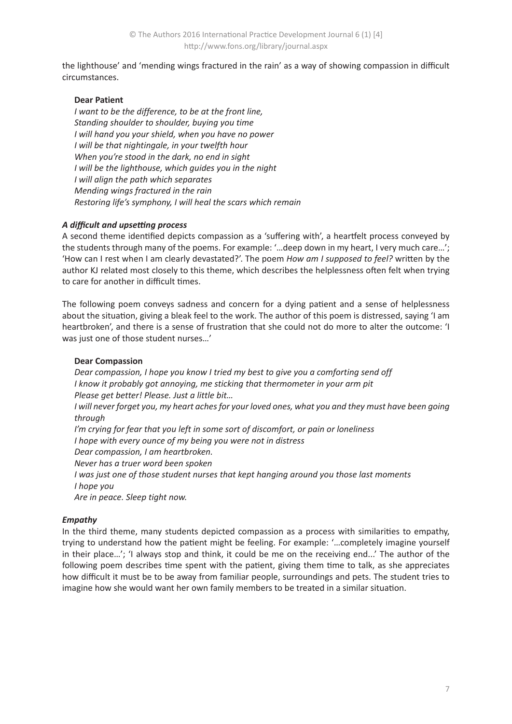the lighthouse' and 'mending wings fractured in the rain' as a way of showing compassion in difficult circumstances.

## **Dear Patient**

*I want to be the difference, to be at the front line, Standing shoulder to shoulder, buying you time I will hand you your shield, when you have no power I will be that nightingale, in your twelfth hour When you're stood in the dark, no end in sight I will be the lighthouse, which guides you in the night I will align the path which separates Mending wings fractured in the rain Restoring life's symphony, I will heal the scars which remain* 

## *A difficult and upsetting process*

A second theme identified depicts compassion as a 'suffering with', a heartfelt process conveyed by the students through many of the poems. For example: '…deep down in my heart, I very much care…'; 'How can I rest when I am clearly devastated?'. The poem *How am I supposed to feel?* written by the author KJ related most closely to this theme, which describes the helplessness often felt when trying to care for another in difficult times.

The following poem conveys sadness and concern for a dying patient and a sense of helplessness about the situation, giving a bleak feel to the work. The author of this poem is distressed, saying 'I am heartbroken', and there is a sense of frustration that she could not do more to alter the outcome: 'I was just one of those student nurses…'

### **Dear Compassion**

*Dear compassion, I hope you know I tried my best to give you a comforting send off I know it probably got annoying, me sticking that thermometer in your arm pit Please get better! Please. Just a little bit… I* will never forget you, my heart aches for your loved ones, what you and they must have been going *through I'm crying for fear that you left in some sort of discomfort, or pain or loneliness I hope with every ounce of my being you were not in distress Dear compassion, I am heartbroken. Never has a truer word been spoken I was just one of those student nurses that kept hanging around you those last moments I hope you*

*Are in peace. Sleep tight now.*

## *Empathy*

In the third theme, many students depicted compassion as a process with similarities to empathy, trying to understand how the patient might be feeling. For example: '…completely imagine yourself in their place…'; 'I always stop and think, it could be me on the receiving end...' The author of the following poem describes time spent with the patient, giving them time to talk, as she appreciates how difficult it must be to be away from familiar people, surroundings and pets. The student tries to imagine how she would want her own family members to be treated in a similar situation.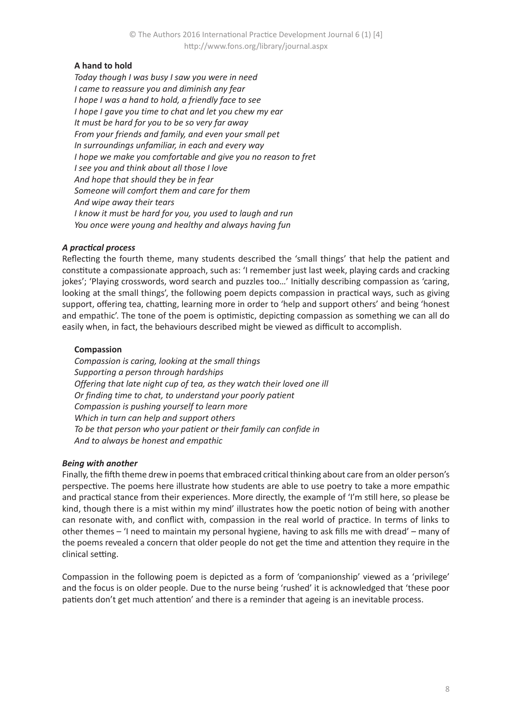## **A hand to hold**

*Today though I was busy I saw you were in need I came to reassure you and diminish any fear I hope I was a hand to hold, a friendly face to see I hope I gave you time to chat and let you chew my ear It must be hard for you to be so very far away From your friends and family, and even your small pet In surroundings unfamiliar, in each and every way I hope we make you comfortable and give you no reason to fret I see you and think about all those I love And hope that should they be in fear Someone will comfort them and care for them And wipe away their tears I know it must be hard for you, you used to laugh and run You once were young and healthy and always having fun*

## *A practical process*

Reflecting the fourth theme, many students described the 'small things' that help the patient and constitute a compassionate approach, such as: 'I remember just last week, playing cards and cracking jokes'; 'Playing crosswords, word search and puzzles too…' Initially describing compassion as 'caring, looking at the small things', the following poem depicts compassion in practical ways, such as giving support, offering tea, chatting, learning more in order to 'help and support others' and being 'honest and empathic'. The tone of the poem is optimistic, depicting compassion as something we can all do easily when, in fact, the behaviours described might be viewed as difficult to accomplish.

## **Compassion**

*Compassion is caring, looking at the small things Supporting a person through hardships Offering that late night cup of tea, as they watch their loved one ill Or finding time to chat, to understand your poorly patient Compassion is pushing yourself to learn more Which in turn can help and support others To be that person who your patient or their family can confide in And to always be honest and empathic*

### *Being with another*

Finally, the fifth theme drew in poems that embraced critical thinking about care from an older person's perspective. The poems here illustrate how students are able to use poetry to take a more empathic and practical stance from their experiences. More directly, the example of 'I'm still here, so please be kind, though there is a mist within my mind' illustrates how the poetic notion of being with another can resonate with, and conflict with, compassion in the real world of practice. In terms of links to other themes – 'I need to maintain my personal hygiene, having to ask fills me with dread' – many of the poems revealed a concern that older people do not get the time and attention they require in the clinical setting.

Compassion in the following poem is depicted as a form of 'companionship' viewed as a 'privilege' and the focus is on older people. Due to the nurse being 'rushed' it is acknowledged that 'these poor patients don't get much attention' and there is a reminder that ageing is an inevitable process.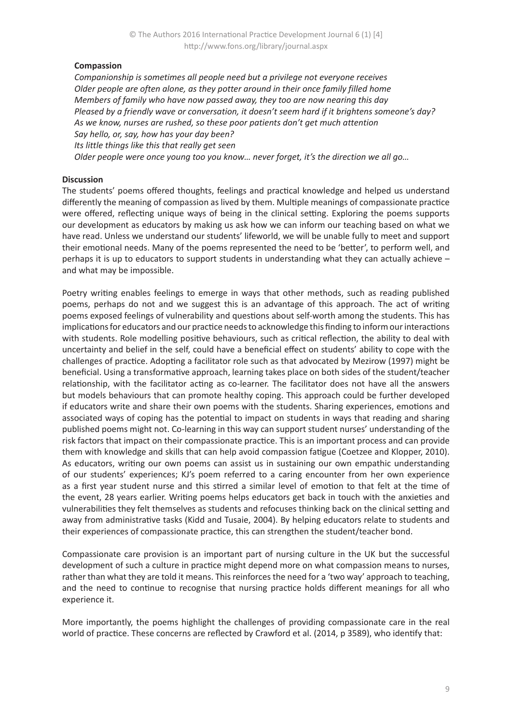## **Compassion**

*Companionship is sometimes all people need but a privilege not everyone receives Older people are often alone, as they potter around in their once family filled home Members of family who have now passed away, they too are now nearing this day Pleased by a friendly wave or conversation, it doesn't seem hard if it brightens someone's day? As we know, nurses are rushed, so these poor patients don't get much attention Say hello, or, say, how has your day been? Its little things like this that really get seen Older people were once young too you know… never forget, it's the direction we all go…*

## **Discussion**

The students' poems offered thoughts, feelings and practical knowledge and helped us understand differently the meaning of compassion as lived by them. Multiple meanings of compassionate practice were offered, reflecting unique ways of being in the clinical setting. Exploring the poems supports our development as educators by making us ask how we can inform our teaching based on what we have read. Unless we understand our students' lifeworld, we will be unable fully to meet and support their emotional needs. Many of the poems represented the need to be 'better', to perform well, and perhaps it is up to educators to support students in understanding what they can actually achieve – and what may be impossible.

Poetry writing enables feelings to emerge in ways that other methods, such as reading published poems, perhaps do not and we suggest this is an advantage of this approach. The act of writing poems exposed feelings of vulnerability and questions about self-worth among the students. This has implications for educators and our practice needs to acknowledge this finding to inform our interactions with students. Role modelling positive behaviours, such as critical reflection, the ability to deal with uncertainty and belief in the self, could have a beneficial effect on students' ability to cope with the challenges of practice. Adopting a facilitator role such as that advocated by Mezirow (1997) might be beneficial. Using a transformative approach, learning takes place on both sides of the student/teacher relationship, with the facilitator acting as co-learner. The facilitator does not have all the answers but models behaviours that can promote healthy coping. This approach could be further developed if educators write and share their own poems with the students. Sharing experiences, emotions and associated ways of coping has the potential to impact on students in ways that reading and sharing published poems might not. Co-learning in this way can support student nurses' understanding of the risk factors that impact on their compassionate practice. This is an important process and can provide them with knowledge and skills that can help avoid compassion fatigue (Coetzee and Klopper, 2010). As educators, writing our own poems can assist us in sustaining our own empathic understanding of our students' experiences; KJ's poem referred to a caring encounter from her own experience as a first year student nurse and this stirred a similar level of emotion to that felt at the time of the event, 28 years earlier. Writing poems helps educators get back in touch with the anxieties and vulnerabilities they felt themselves as students and refocuses thinking back on the clinical setting and away from administrative tasks (Kidd and Tusaie, 2004). By helping educators relate to students and their experiences of compassionate practice, this can strengthen the student/teacher bond.

Compassionate care provision is an important part of nursing culture in the UK but the successful development of such a culture in practice might depend more on what compassion means to nurses, rather than what they are told it means. This reinforces the need for a 'two way' approach to teaching, and the need to continue to recognise that nursing practice holds different meanings for all who experience it.

More importantly, the poems highlight the challenges of providing compassionate care in the real world of practice. These concerns are reflected by Crawford et al. (2014, p 3589), who identify that: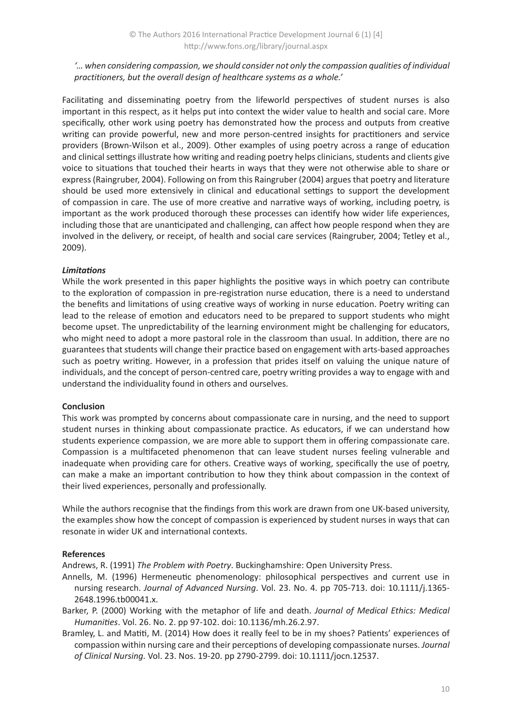*'… when considering compassion, we should consider not only the compassion qualities of individual practitioners, but the overall design of healthcare systems as a whole.'* 

Facilitating and disseminating poetry from the lifeworld perspectives of student nurses is also important in this respect, as it helps put into context the wider value to health and social care. More specifically, other work using poetry has demonstrated how the process and outputs from creative writing can provide powerful, new and more person-centred insights for practitioners and service providers (Brown-Wilson et al., 2009). Other examples of using poetry across a range of education and clinical settings illustrate how writing and reading poetry helps clinicians, students and clients give voice to situations that touched their hearts in ways that they were not otherwise able to share or express (Raingruber, 2004). Following on from this Raingruber (2004) argues that poetry and literature should be used more extensively in clinical and educational settings to support the development of compassion in care. The use of more creative and narrative ways of working, including poetry, is important as the work produced thorough these processes can identify how wider life experiences, including those that are unanticipated and challenging, can affect how people respond when they are involved in the delivery, or receipt, of health and social care services (Raingruber, 2004; Tetley et al., 2009).

## *Limitations*

While the work presented in this paper highlights the positive ways in which poetry can contribute to the exploration of compassion in pre-registration nurse education, there is a need to understand the benefits and limitations of using creative ways of working in nurse education. Poetry writing can lead to the release of emotion and educators need to be prepared to support students who might become upset. The unpredictability of the learning environment might be challenging for educators, who might need to adopt a more pastoral role in the classroom than usual. In addition, there are no guarantees that students will change their practice based on engagement with arts-based approaches such as poetry writing. However, in a profession that prides itself on valuing the unique nature of individuals, and the concept of person-centred care, poetry writing provides a way to engage with and understand the individuality found in others and ourselves.

### **Conclusion**

This work was prompted by concerns about compassionate care in nursing, and the need to support student nurses in thinking about compassionate practice. As educators, if we can understand how students experience compassion, we are more able to support them in offering compassionate care. Compassion is a multifaceted phenomenon that can leave student nurses feeling vulnerable and inadequate when providing care for others. Creative ways of working, specifically the use of poetry, can make a make an important contribution to how they think about compassion in the context of their lived experiences, personally and professionally.

While the authors recognise that the findings from this work are drawn from one UK-based university, the examples show how the concept of compassion is experienced by student nurses in ways that can resonate in wider UK and international contexts.

### **References**

Andrews, R. (1991) *The Problem with Poetry*. Buckinghamshire: Open University Press.

- Annells, M. (1996) Hermeneutic phenomenology: philosophical perspectives and current use in nursing research. *Journal of Advanced Nursing*. Vol. 23. No. 4. pp 705-713. doi: 10.1111/j.1365- 2648.1996.tb00041.x.
- Barker, P. (2000) Working with the metaphor of life and death. *Journal of Medical Ethics: Medical Humanities*. Vol. 26. No. 2. pp 97-102. doi: 10.1136/mh.26.2.97.
- Bramley, L. and Matiti, M. (2014) How does it really feel to be in my shoes? Patients' experiences of compassion within nursing care and their perceptions of developing compassionate nurses. *Journal of Clinical Nursing.* Vol. 23. Nos. 19-20. pp 2790-2799. doi: 10.1111/jocn.12537.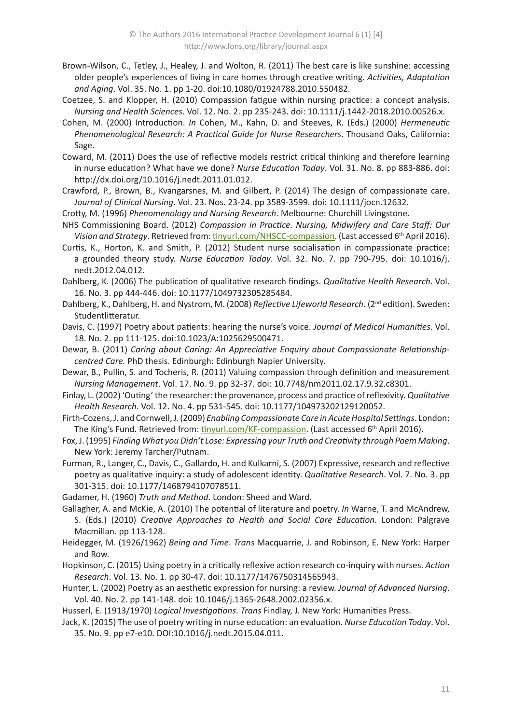- Brown-Wilson, C., Tetley, J., Healey, J. and Wolton, R. (2011) The best care is like sunshine: accessing older people's experiences of living in care homes through creative writing. *Activities, Adaptation and Aging*. Vol. 35. No. 1. pp 1-20. doi:10.1080/01924788.2010.550482.
- Coetzee, S. and Klopper, H. (2010) Compassion fatigue within nursing practice: a concept analysis. *Nursing and Health Sciences*. Vol. 12. No. 2. pp 235-243. doi: 10.1111/j.1442-2018.2010.00526.x.
- Cohen, M. (2000) Introduction. *In* Cohen, M., Kahn, D. and Steeves, R. (Eds.) (2000) *Hermeneutic Phenomenological Research: A Practical Guide for Nurse Researchers*. Thousand Oaks, California: Sage.
- Coward, M. (2011) Does the use of reflective models restrict critical thinking and therefore learning in nurse education? What have we done? *Nurse Education Today*. Vol. 31. No. 8. pp 883-886. doi: http://dx.doi.org/10.1016/j.nedt.2011.01.012.
- Crawford, P., Brown, B., Kvangarsnes, M. and Gilbert, P. (2014) The design of compassionate care. *Journal of Clinical Nursing*. Vol. 23. Nos. 23-24. pp 3589-3599. doi: 10.1111/jocn.12632.
- Crotty, M. (1996) *Phenomenology and Nursing Research*. Melbourne: Churchill Livingstone.
- NHS Commissioning Board. (2012) *Compassion in Practice. Nursing, Midwifery and Care Staff: Our*  Vision and Strategy. Retrieved from: [tinyurl.com/NHSCC-compassion](http://tinyurl.com/NHSCC-compassion). (Last accessed 6<sup>th</sup> April 2016).
- Curtis, K., Horton, K. and Smith, P. (2012) Student nurse socialisation in compassionate practice: a grounded theory study. *Nurse Education Today*. Vol. 32. No. 7. pp 790-795. doi: 10.1016/j. nedt.2012.04.012.
- Dahlberg, K. (2006) The publication of qualitative research findings. *Qualitative Health Research*. Vol. 16. No. 3. pp 444-446. doi: 10.1177/1049732305285484.
- Dahlberg, K., Dahlberg, H. and Nystrom, M. (2008) *Reflective Lifeworld Research*. (2nd edition). Sweden: Studentlitteratur.
- Davis, C. (1997) Poetry about patients: hearing the nurse's voice. *Journal of Medical Humanities*. Vol. 18. No. 2. pp 111-125. doi:10.1023/A:1025629500471.
- Dewar, B. (2011) *Caring about Caring: An Appreciative Enquiry about Compassionate Relationshipcentred Care.* PhD thesis. Edinburgh: Edinburgh Napier University.
- Dewar, B., Pullin, S. and Tocheris, R. (2011) Valuing compassion through definition and measurement *Nursing Management*. Vol. 17. No. 9. pp 32-37. doi: 10.7748/nm2011.02.17.9.32.c8301.
- Finlay, L. (2002) 'Outing' the researcher: the provenance, process and practice of reflexivity. *Qualitative Health Research*. Vol. 12. No. 4. pp 531-545. doi: 10.1177/104973202129120052.
- Firth-Cozens, J. and Cornwell, J. (2009) *Enabling Compassionate Care in Acute Hospital Settings*. London: The King's Fund. Retrieved from: [tinyurl.com/KF-compassion](http://tinyurl.com/KF-compassion). (Last accessed 6<sup>th</sup> April 2016).
- Fox, J. (1995) *Finding What you Didn't Lose: Expressing your Truth and Creativity through Poem Making*. New York: Jeremy Tarcher/Putnam.
- Furman, R., Langer, C., Davis, C., Gallardo, H. and Kulkarni, S. (2007) Expressive, research and reflective poetry as qualitative inquiry: a study of adolescent identity. *Qualitative Research*. Vol. 7. No. 3. pp 301-315. doi: 10.1177/1468794107078511.
- Gadamer, H. (1960) *Truth and Method*. London: Sheed and Ward.
- Gallagher, A. and McKie, A. (2010) The potential of literature and poetry. *In* Warne, T. and McAndrew, S. (Eds.) (2010) *Creative Approaches to Health and Social Care Education*. London: Palgrave Macmillan. pp 113-128.
- Heidegger, M. (1926/1962) *Being and Time*. *Trans* Macquarrie, J. and Robinson, E. New York: Harper and Row.
- Hopkinson, C. (2015) Using poetry in a critically reflexive action research co-inquiry with nurses. *Action Research*. Vol. 13. No. 1. pp 30-47. doi: 10.1177/1476750314565943.
- Hunter, L. (2002) Poetry as an aesthetic expression for nursing: a review. *Journal of Advanced Nursing*. Vol. 40. No. 2. pp 141-148. doi: 10.1046/j.1365-2648.2002.02356.x.
- Husserl, E. (1913/1970) *Logical Investigations*. *Trans* Findlay, J. New York: Humanities Press.
- Jack, K. (2015) The use of poetry writing in nurse education: an evaluation. *Nurse Education Today*. Vol. 35. No. 9. pp e7-e10. DOI:10.1016/j.nedt.2015.04.011.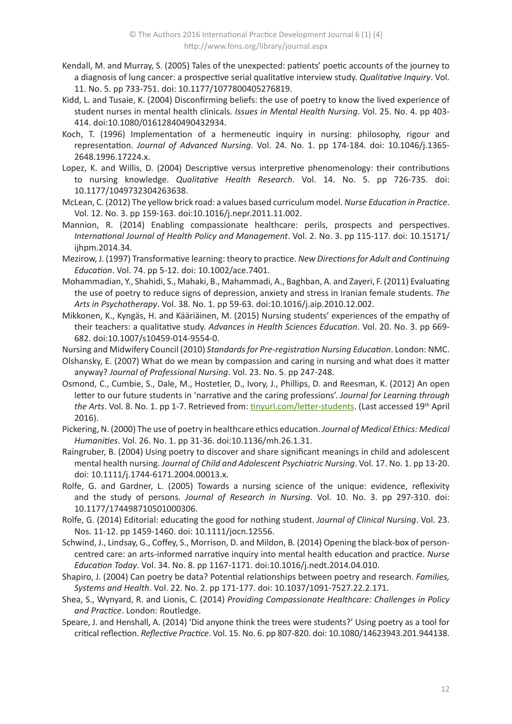- Kendall, M. and Murray, S. (2005) Tales of the unexpected: patients' poetic accounts of the journey to a diagnosis of lung cancer: a prospective serial qualitative interview study. *Qualitative Inquiry*. Vol. 11. No. 5. pp 733-751. doi: 10.1177/1077800405276819.
- Kidd, L. and Tusaie, K. (2004) Disconfirming beliefs: the use of poetry to know the lived experience of student nurses in mental health clinicals. *Issues in Mental Health Nursing*. Vol. 25. No. 4. pp 403- 414. doi:10.1080/01612840490432934.
- Koch, T. (1996) Implementation of a hermeneutic inquiry in nursing: philosophy, rigour and representation. *Journal of Advanced Nursing*. Vol. 24. No. 1. pp 174-184. doi: 10.1046/j.1365- 2648.1996.17224.x.
- Lopez, K. and Willis, D. (2004) Descriptive versus interpretive phenomenology: their contributions to nursing knowledge. *Qualitative Health Research*. Vol. 14. No. 5. pp 726-735. doi: 10.1177/1049732304263638.
- McLean, C. (2012) The yellow brick road: a values based curriculum model. *Nurse Education in Practice*. Vol. 12. No. 3. pp 159-163. doi:10.1016/j.nepr.2011.11.002.
- Mannion, R. (2014) Enabling compassionate healthcare: perils, prospects and perspectives. *International Journal of Health Policy and Management*. Vol. 2. No. 3. pp 115-117. doi: 10.15171/ ijhpm.2014.34.
- Mezirow, J. (1997) Transformative learning: theory to practice. *New Directions for Adult and Continuing Education*. Vol. 74. pp 5-12. doi: 10.1002/ace.7401.
- Mohammadian, Y., Shahidi, S., Mahaki, B., Mahammadi, A., Baghban, A. and Zayeri, F. (2011) Evaluating the use of poetry to reduce signs of depression, anxiety and stress in Iranian female students. *The Arts in Psychotherapy*. Vol. 38. No. 1. pp 59-63. doi:10.1016/j.aip.2010.12.002.
- Mikkonen, K., Kyngäs, H. and Kääriäinen, M. (2015) Nursing students' experiences of the empathy of their teachers: a qualitative study. *Advances in Health Sciences Education*. Vol. 20. No. 3. pp 669- 682. doi:10.1007/s10459-014-9554-0.
- Nursing and Midwifery Council (2010) *Standards for Pre-registration Nursing Education*. London: NMC.
- Olshansky, E. (2007) What do we mean by compassion and caring in nursing and what does it matter anyway? *Journal of Professional Nursing*. Vol. 23. No. 5. pp 247-248.
- Osmond, C., Cumbie, S., Dale, M., Hostetler, D., Ivory, J., Phillips, D. and Reesman, K. (2012) An open letter to our future students in 'narrative and the caring professions'. *Journal for Learning through*  the Arts. Vol. 8. No. 1. pp 1-7. Retrieved from: [tinyurl.com/letter-students.](http://tinyurl.com/letter-students) (Last accessed 19<sup>th</sup> April 2016).
- Pickering, N. (2000) The use of poetry in healthcare ethics education. *Journal of Medical Ethics: Medical Humanities*. Vol. 26. No. 1. pp 31-36. doi:10.1136/mh.26.1.31.
- Raingruber, B. (2004) Using poetry to discover and share significant meanings in child and adolescent mental health nursing. *Journal of Child and Adolescent Psychiatric Nursing*. Vol. 17. No. 1. pp 13-20. doi: 10.1111/j.1744-6171.2004.00013.x.
- Rolfe, G. and Gardner, L. (2005) Towards a nursing science of the unique: evidence, reflexivity and the study of persons. *Journal of Research in Nursing*. Vol. 10. No. 3. pp 297-310. doi: 10.1177/174498710501000306.
- Rolfe, G. (2014) Editorial: educating the good for nothing student. *Journal of Clinical Nursing*. Vol. 23. Nos. 11-12. pp 1459-1460. doi: 10.1111/jocn.12556.
- Schwind, J., Lindsay, G., Coffey, S., Morrison, D. and Mildon, B. (2014) Opening the black-box of personcentred care: an arts-informed narrative inquiry into mental health education and practice. *Nurse Education Today*. Vol. 34. No. 8. pp 1167-1171. doi:10.1016/j.nedt.2014.04.010.
- Shapiro, J. (2004) Can poetry be data? Potential relationships between poetry and research. *Families, Systems and Health*. Vol. 22. No. 2. pp 171-177. doi: 10.1037/1091-7527.22.2.171.
- Shea, S., Wynyard, R. and Lionis, C. (2014) *Providing Compassionate Healthcare: Challenges in Policy and Practice*. London: Routledge.
- Speare, J. and Henshall, A. (2014) 'Did anyone think the trees were students?' Using poetry as a tool for critical reflection. *Reflective Practice*. Vol. 15. No. 6. pp 807-820. doi: 10.1080/14623943.201.944138.